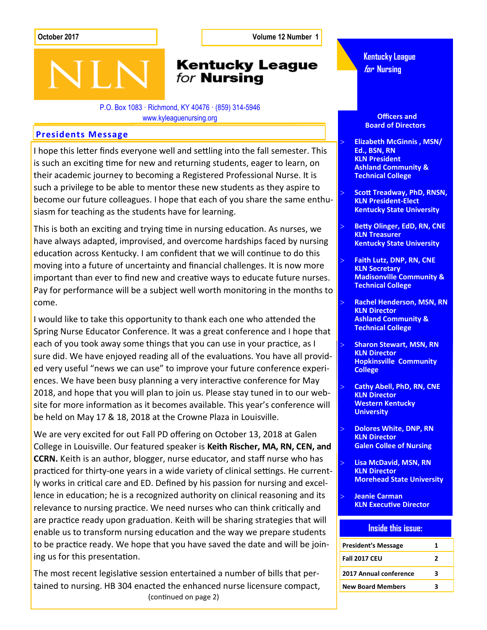**October 2017 Volume 12 Number 1**

# **Kentucky League** for **Nursing**

P.O. Box 1083 · Richmond, KY 40476 · (859) 314-5946 www.kyleaguenursing.org

#### **Presidents Message**

I hope this letter finds everyone well and settling into the fall semester. This is such an exciting time for new and returning students, eager to learn, on their academic journey to becoming a Registered Professional Nurse. It is such a privilege to be able to mentor these new students as they aspire to become our future colleagues. I hope that each of you share the same enthusiasm for teaching as the students have for learning.

This is both an exciting and trying time in nursing education. As nurses, we have always adapted, improvised, and overcome hardships faced by nursing education across Kentucky. I am confident that we will continue to do this moving into a future of uncertainty and financial challenges. It is now more important than ever to find new and creative ways to educate future nurses. Pay for performance will be a subject well worth monitoring in the months to come.

I would like to take this opportunity to thank each one who attended the Spring Nurse Educator Conference. It was a great conference and I hope that each of you took away some things that you can use in your practice, as I sure did. We have enjoyed reading all of the evaluations. You have all provided very useful "news we can use" to improve your future conference experiences. We have been busy planning a very interactive conference for May 2018, and hope that you will plan to join us. Please stay tuned in to our website for more information as it becomes available. This year's conference will be held on May 17 & 18, 2018 at the Crowne Plaza in Louisville.

We are very excited for out Fall PD offering on October 13, 2018 at Galen College in Louisville. Our featured speaker is **Keith Rischer, MA, RN, CEN, and CCRN.** Keith is an author, blogger, nurse educator, and staff nurse who has practiced for thirty-one years in a wide variety of clinical settings. He currently works in critical care and ED. Defined by his passion for nursing and excellence in education; he is a recognized authority on clinical reasoning and its relevance to nursing practice. We need nurses who can think critically and are practice ready upon graduation. Keith will be sharing strategies that will enable us to transform nursing education and the way we prepare students to be practice ready. We hope that you have saved the date and will be joining us for this presentation.

The most recent legislative session entertained a number of bills that pertained to nursing. HB 304 enacted the enhanced nurse licensure compact, (continued on page 2)

**Kentucky League for Nursing**

 **Officers and Board of Directors**

- **Elizabeth McGinnis , MSN/ Ed., BSN, RN KLN President Ashland Community & Technical College**
- **Scott Treadway, PhD, RNSN, KLN President-Elect Kentucky State University**
- **Betty Olinger, EdD, RN, CNE KLN Treasurer Kentucky State University**
- **Faith Lutz, DNP, RN, CNE KLN Secretary Madisonville Community & Technical College**
- **Rachel Henderson, MSN, RN KLN Director Ashland Community & Technical College**
- **Sharon Stewart, MSN, RN KLN Director Hopkinsville Community College**
- **Cathy Abell, PhD, RN, CNE KLN Director Western Kentucky University**
- **Dolores White, DNP, RN KLN Director Galen Collee of Nursing**
- **Lisa McDavid, MSN, RN KLN Director Morehead State University**
- **Jeanie Carman KLN Executive Director**

#### **Inside this issue:**

| <b>President's Message</b> | 1 |
|----------------------------|---|
| <b>Fall 2017 CEU</b>       | 7 |
| 2017 Annual conference     | ર |
| <b>New Board Members</b>   | 2 |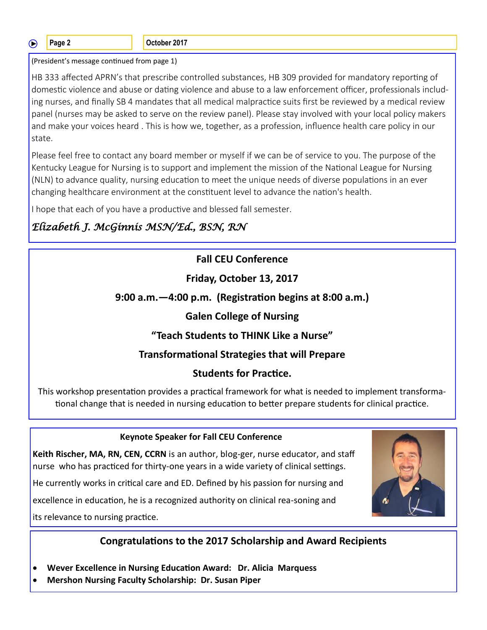∩

**Page 2 Details Page 2 Details Page 2 Details Page 2017** 

(President's message continued from page 1)

HB 333 affected APRN's that prescribe controlled substances, HB 309 provided for mandatory reporting of domestic violence and abuse or dating violence and abuse to a law enforcement officer, professionals including nurses, and finally SB 4 mandates that all medical malpractice suits first be reviewed by a medical review panel (nurses may be asked to serve on the review panel). Please stay involved with your local policy makers and make your voices heard . This is how we, together, as a profession, influence health care policy in our state.

Please feel free to contact any board member or myself if we can be of service to you. The purpose of the Kentucky League for Nursing is to support and implement the mission of the National League for Nursing (NLN) to advance quality, nursing education to meet the unique needs of diverse populations in an ever changing healthcare environment at the constituent level to advance the nation's health.

I hope that each of you have a productive and blessed fall semester.

# *Elizabeth J. McGinnis MSN/Ed., BSN, RN*

## **Fall CEU Conference**

#### **Friday, October 13, 2017**

#### **9:00 a.m.—4:00 p.m. (Registration begins at 8:00 a.m.)**

### **Galen College of Nursing**

#### **"Teach Students to THINK Like a Nurse"**

# **Transformational Strategies that will Prepare**

#### **Students for Practice.**

This workshop presentation provides a practical framework for what is needed to implement transformational change that is needed in nursing education to better prepare students for clinical practice.

#### **Keynote Speaker for Fall CEU Conference**

**Keith Rischer, MA, RN, CEN, CCRN** is an author, blog-ger, nurse educator, and staff nurse who has practiced for thirty-one years in a wide variety of clinical settings.

He currently works in critical care and ED. Defined by his passion for nursing and

excellence in education, he is a recognized authority on clinical rea-soning and

its relevance to nursing practice.

# **Congratulations to the 2017 Scholarship and Award Recipients**

- **Wever Excellence in Nursing Education Award: Dr. Alicia Marquess**
- **Mershon Nursing Faculty Scholarship: Dr. Susan Piper**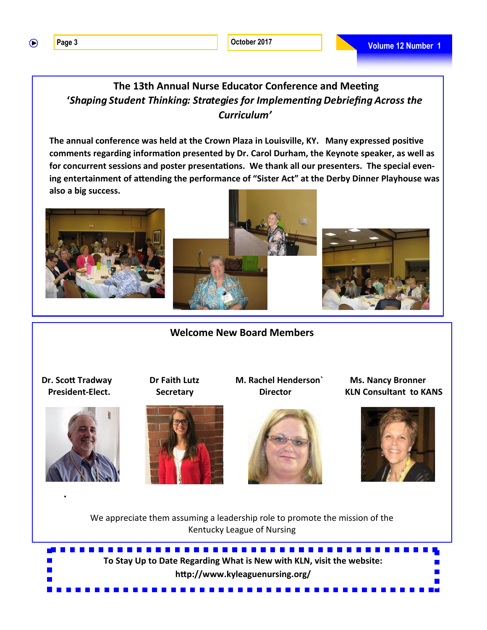$\bigcirc$ 

## **The 13th Annual Nurse Educator Conference and Meeting '***Shaping Student Thinking: Strategies for Implementing Debriefing Across the Curriculum'*

**The annual conference was held at the Crown Plaza in Louisville, KY. Many expressed positive comments regarding information presented by Dr. Carol Durham, the Keynote speaker, as well as for concurrent sessions and poster presentations. We thank all our presenters. The special evening entertainment of attending the performance of "Sister Act" at the Derby Dinner Playhouse was also a big success.** 





**Welcome New Board Members**



**.**





 **Dr. Scott Tradway Dr Faith Lutz M. Rachel Henderson` Ms. Nancy Bronner President-Elect.** Secretary Director Bureau KLN Consultant to KANS



We appreciate them assuming a leadership role to promote the mission of the Kentucky League of Nursing

**To Stay Up to Date Regarding What is New with KLN, visit the website: http://www.kyleaguenursing.org/**